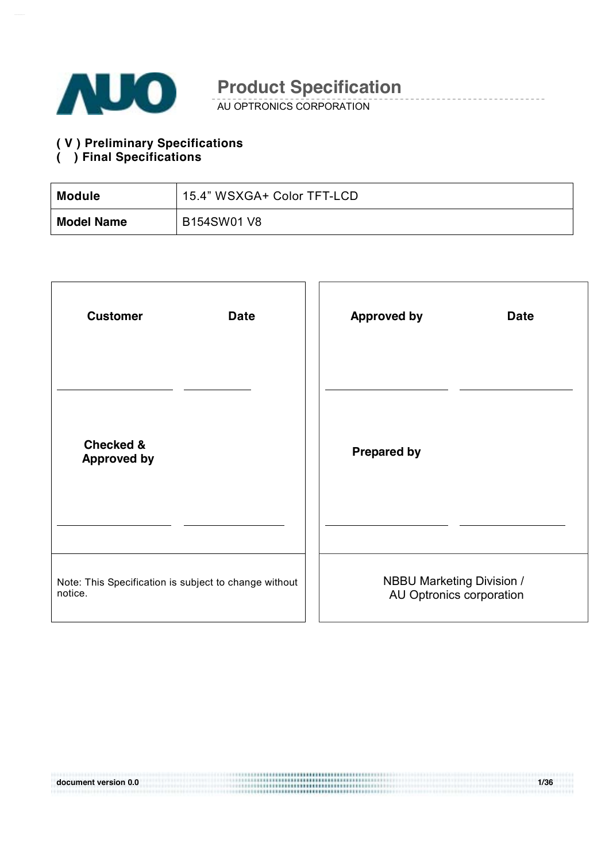

AU OPTRONICS CORPORATION

#### **( V ) Preliminary Specifications ( ) Final Specifications**

| <b>Module</b>     | 15.4" WSXGA+ Color TFT-LCD |
|-------------------|----------------------------|
| <b>Model Name</b> | B154SW01 V8                |

| <b>Customer</b>                                       | <b>Approved by</b>               |
|-------------------------------------------------------|----------------------------------|
| <b>Date</b>                                           | <b>Date</b>                      |
| <b>Checked &amp;</b><br><b>Approved by</b>            | <b>Prepared by</b>               |
|                                                       |                                  |
| Note: This Specification is subject to change without | <b>NBBU Marketing Division /</b> |
| notice.                                               | AU Optronics corporation         |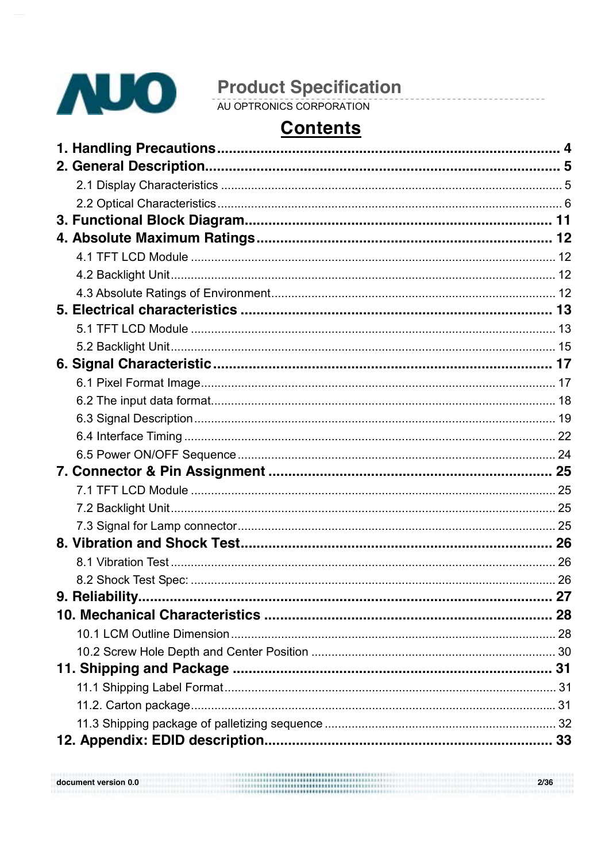

document version 0.0

# **Contents**

 $2/36$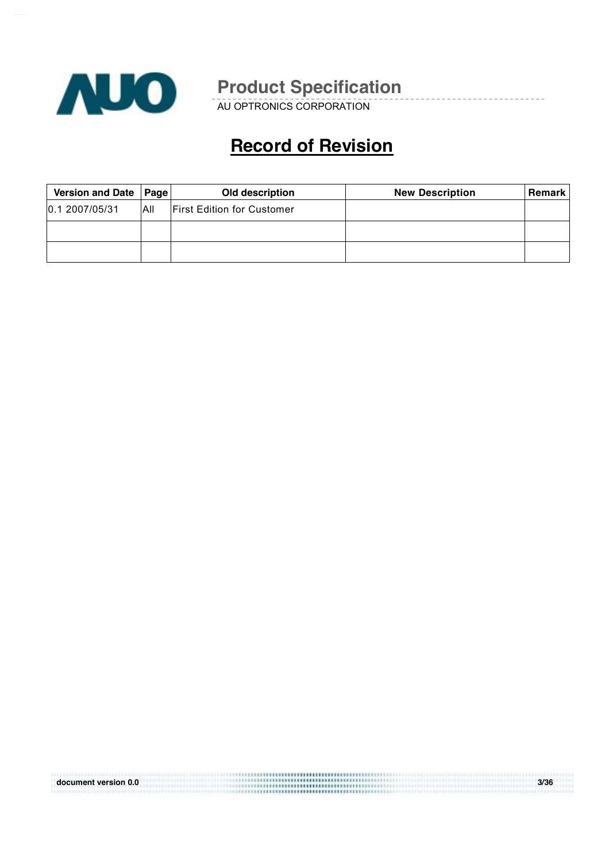

AU OPTRONICS CORPORATION

# **Record of Revision**

| Version and Date | <b>Page</b> | Old description                   | <b>New Description</b> | <b>Remark</b> |
|------------------|-------------|-----------------------------------|------------------------|---------------|
| 0.1 2007/05/31   | All         | <b>First Edition for Customer</b> |                        |               |
|                  |             |                                   |                        |               |
|                  |             |                                   |                        |               |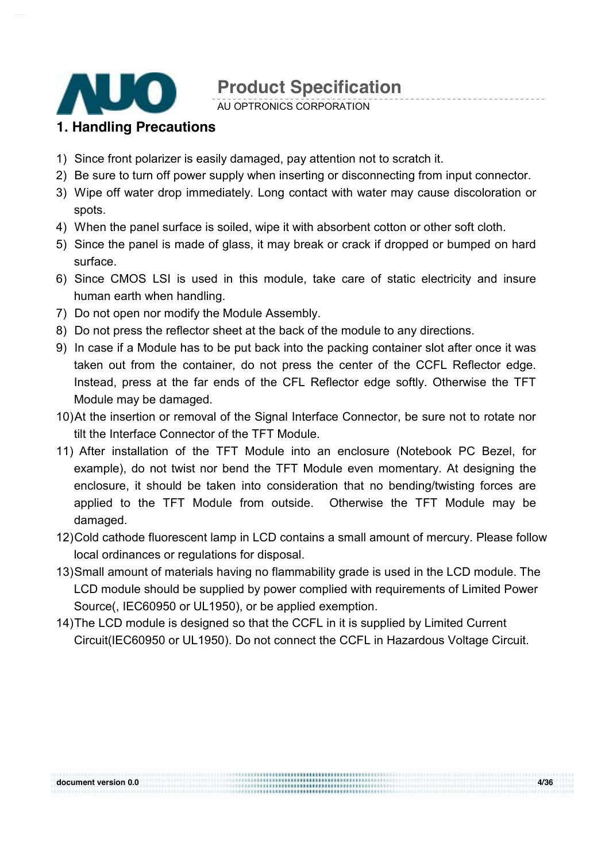

AU OPTRONICS CORPORATION

### **1. Handling Precautions**

- 1) Since front polarizer is easily damaged, pay attention not to scratch it.
- 2) Be sure to turn off power supply when inserting or disconnecting from input connector.
- 3) Wipe off water drop immediately. Long contact with water may cause discoloration or spots.
- 4) When the panel surface is soiled, wipe it with absorbent cotton or other soft cloth.
- 5) Since the panel is made of glass, it may break or crack if dropped or bumped on hard surface.
- 6) Since CMOS LSI is used in this module, take care of static electricity and insure human earth when handling.
- 7) Do not open nor modify the Module Assembly.
- 8) Do not press the reflector sheet at the back of the module to any directions.
- 9) In case if a Module has to be put back into the packing container slot after once it was taken out from the container, do not press the center of the CCFL Reflector edge. Instead, press at the far ends of the CFL Reflector edge softly. Otherwise the TFT Module may be damaged.
- 10) At the insertion or removal of the Signal Interface Connector, be sure not to rotate nor tilt the Interface Connector of the TFT Module.
- 11) After installation of the TFT Module into an enclosure (Notebook PC Bezel, for example), do not twist nor bend the TFT Module even momentary. At designing the enclosure, it should be taken into consideration that no bending/twisting forces are applied to the TFT Module from outside. Otherwise the TFT Module may be damaged.
- 12) Cold cathode fluorescent lamp in LCD contains a small amount of mercury. Please follow local ordinances or regulations for disposal.
- 13) Small amount of materials having no flammability grade is used in the LCD module. The LCD module should be supplied by power complied with requirements of Limited Power Source(, IEC60950 or UL1950), or be applied exemption.
- 14) The LCD module is designed so that the CCFL in it is supplied by Limited Current Circuit(IEC60950 or UL1950). Do not connect the CCFL in Hazardous Voltage Circuit.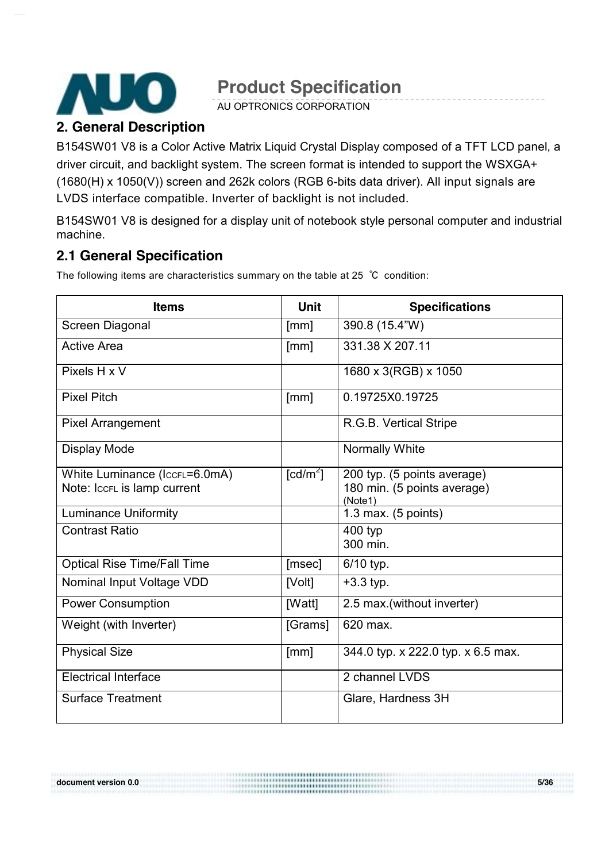

AU OPTRONICS CORPORATION

### **2. General Description**

B154SW01 V8 is a Color Active Matrix Liquid Crystal Display composed of a TFT LCD panel, a driver circuit, and backlight system. The screen format is intended to support the WSXGA+ (1680(H) x 1050(V)) screen and 262k colors (RGB 6-bits data driver). All input signals are LVDS interface compatible. Inverter of backlight is not included.

B154SW01 V8 is designed for a display unit of notebook style personal computer and industrial machine.

### **2.1 General Specification**

The following items are characteristics summary on the table at 25 ℃ condition:

| <b>Items</b>                                                 | <b>Unit</b>                      | <b>Specifications</b>                                                 |
|--------------------------------------------------------------|----------------------------------|-----------------------------------------------------------------------|
| Screen Diagonal                                              | [mm]                             | 390.8 (15.4"W)                                                        |
| <b>Active Area</b>                                           | [mm]                             | 331.38 X 207.11                                                       |
| Pixels H x V                                                 |                                  | 1680 x 3(RGB) x 1050                                                  |
| <b>Pixel Pitch</b>                                           | [mm]                             | 0.19725X0.19725                                                       |
| <b>Pixel Arrangement</b>                                     |                                  | R.G.B. Vertical Stripe                                                |
| <b>Display Mode</b>                                          |                                  | <b>Normally White</b>                                                 |
| White Luminance (IccFL=6.0mA)<br>Note: IccFL is lamp current | $\text{\rm [cd/m}^2\text{\rm ]}$ | 200 typ. (5 points average)<br>180 min. (5 points average)<br>(Note1) |
| <b>Luminance Uniformity</b>                                  |                                  | 1.3 max. $(5$ points)                                                 |
| <b>Contrast Ratio</b>                                        |                                  | 400 typ<br>300 min.                                                   |
| <b>Optical Rise Time/Fall Time</b>                           | [msec]                           | $6/10$ typ.                                                           |
| Nominal Input Voltage VDD                                    | [Volt]                           | $+3.3$ typ.                                                           |
| <b>Power Consumption</b>                                     | [Watt]                           | 2.5 max. (without inverter)                                           |
| Weight (with Inverter)                                       | [Grams]                          | 620 max.                                                              |
| <b>Physical Size</b>                                         | [mm]                             | 344.0 typ. x 222.0 typ. x 6.5 max.                                    |
| <b>Electrical Interface</b>                                  |                                  | 2 channel LVDS                                                        |
| <b>Surface Treatment</b>                                     |                                  | Glare, Hardness 3H                                                    |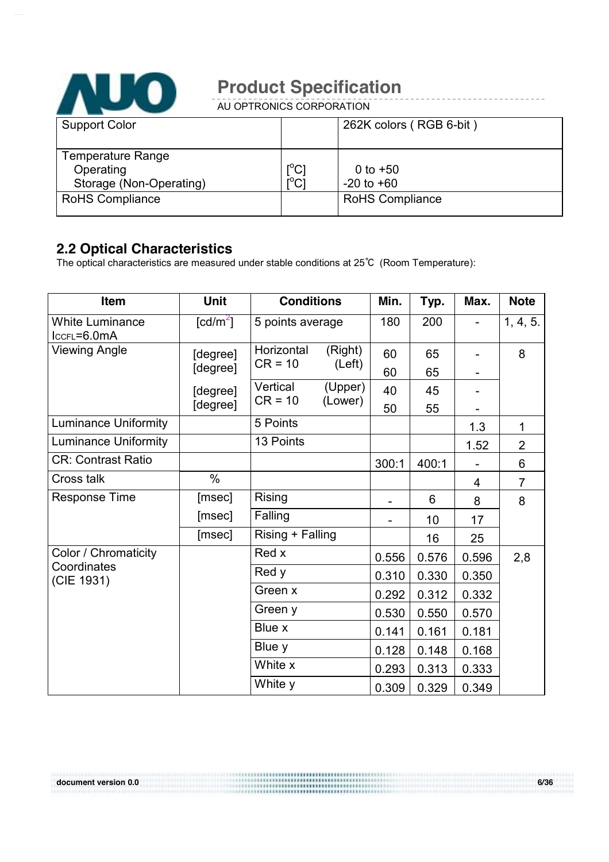

AU OPTRONICS CORPORATION

| <b>Support Color</b>     |                                         | 262K colors (RGB 6-bit) |
|--------------------------|-----------------------------------------|-------------------------|
|                          |                                         |                         |
| <b>Temperature Range</b> |                                         |                         |
| Operating                | $\mathsf{I}^\circ\mathsf{C} \mathsf{I}$ | 0 to $+50$              |
| Storage (Non-Operating)  | $\overline{C}$                          | $-20$ to $+60$          |
| <b>RoHS Compliance</b>   |                                         | <b>RoHS Compliance</b>  |
|                          |                                         |                         |

### **2.2 Optical Characteristics**

The optical characteristics are measured under stable conditions at 25℃ (Room Temperature):

| Item                                      | Unit                   | <b>Conditions</b>     |                    | Min.  | Typ.  | Max.  | <b>Note</b>    |
|-------------------------------------------|------------------------|-----------------------|--------------------|-------|-------|-------|----------------|
| <b>White Luminance</b><br>$lccFL = 6.0mA$ | $\lceil cd/m^2 \rceil$ | 5 points average      |                    | 180   | 200   |       | 1, 4, 5.       |
| <b>Viewing Angle</b>                      | [degree]               | Horizontal            | (Right)            | 60    | 65    |       | 8              |
|                                           | [degree]               | $CR = 10$             | (Left)             | 60    | 65    |       |                |
|                                           | [degree]               | Vertical<br>$CR = 10$ | (Upper)<br>(Lower) | 40    | 45    |       |                |
|                                           | [degree]               |                       |                    | 50    | 55    |       |                |
| <b>Luminance Uniformity</b>               |                        | 5 Points              |                    |       |       | 1.3   | 1              |
| <b>Luminance Uniformity</b>               |                        | 13 Points             |                    |       |       | 1.52  | $\overline{2}$ |
| <b>CR: Contrast Ratio</b>                 |                        |                       |                    | 300:1 | 400:1 |       | 6              |
| Cross talk                                | $\%$                   |                       |                    |       |       | 4     | $\overline{7}$ |
| <b>Response Time</b>                      | [msec]                 | <b>Rising</b>         |                    |       | 6     | 8     | 8              |
|                                           | [msec]                 | Falling               |                    |       | 10    | 17    |                |
|                                           | [msec]                 | Rising + Falling      |                    |       | 16    | 25    |                |
| Color / Chromaticity                      |                        | Red x                 |                    | 0.556 | 0.576 | 0.596 | 2,8            |
| Coordinates<br>(CIE 1931)                 |                        | Red y                 |                    | 0.310 | 0.330 | 0.350 |                |
|                                           |                        | Green x               |                    | 0.292 | 0.312 | 0.332 |                |
|                                           |                        | Green y               |                    | 0.530 | 0.550 | 0.570 |                |
|                                           |                        | Blue x                |                    | 0.141 | 0.161 | 0.181 |                |
|                                           |                        | Blue y                |                    | 0.128 | 0.148 | 0.168 |                |
|                                           |                        | White x               |                    | 0.293 | 0.313 | 0.333 |                |
|                                           |                        | White y               |                    | 0.309 | 0.329 | 0.349 |                |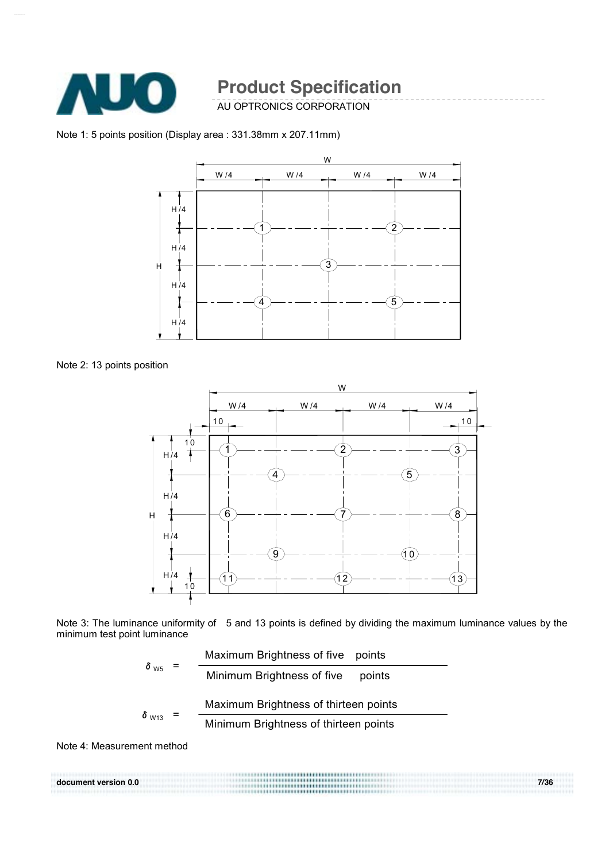

AU OPTRONICS CORPORATION

Note 1: 5 points position (Display area : 331.38mm x 207.11mm)



Note 2: 13 points position



Note 3: The luminance uniformity of 5 and 13 points is defined by dividing the maximum luminance values by the minimum test point luminance

$$
\delta_{\text{W5}} = \frac{\text{Maximum brightness of five points}}{\text{Minimum brightness of five points}}
$$
\n
$$
\delta_{\text{W13}} = \frac{\text{Maximum brightness of thirteen points}}{\text{Minimum brightness of thirteen points}}
$$

Note 4: Measurement method

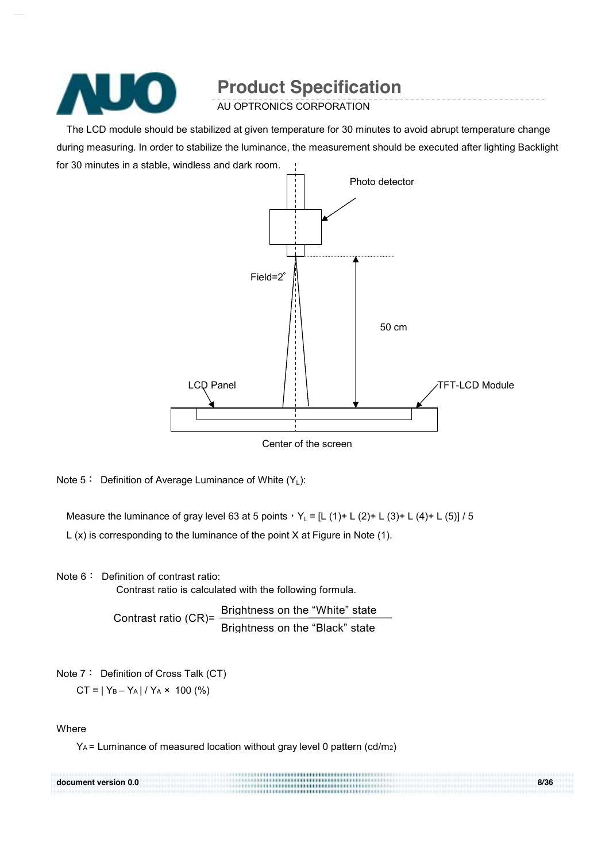

AU OPTRONICS CORPORATION

The LCD module should be stabilized at given temperature for 30 minutes to avoid abrupt temperature change during measuring. In order to stabilize the luminance, the measurement should be executed after lighting Backlight for 30 minutes in a stable, windless and dark room.



Center of the screen

Note  $5:$  Definition of Average Luminance of White  $(Y_1)$ :

Measure the luminance of gray level 63 at 5 points,  $Y_L = [L (1) + L (2) + L (3) + L (4) + L (5)] / 5$ L (x) is corresponding to the luminance of the point X at Figure in Note (1).

Note 6: Definition of contrast ratio: Contrast ratio is calculated with the following formula.

> Contrast ratio (CR)= Brightness on the "White" state Brightness on the "Black" state

Note 7: Definition of Cross Talk (CT)

 $CT = |Y_B - Y_A| / Y_A \times 100$  (%)

Where

YA = Luminance of measured location without gray level 0 pattern (cd/m2)

| document version 0.0 | ,,,,,,,,,,,,,,,,,,,,,<br> | 8/36 |
|----------------------|---------------------------|------|
|                      | .                         |      |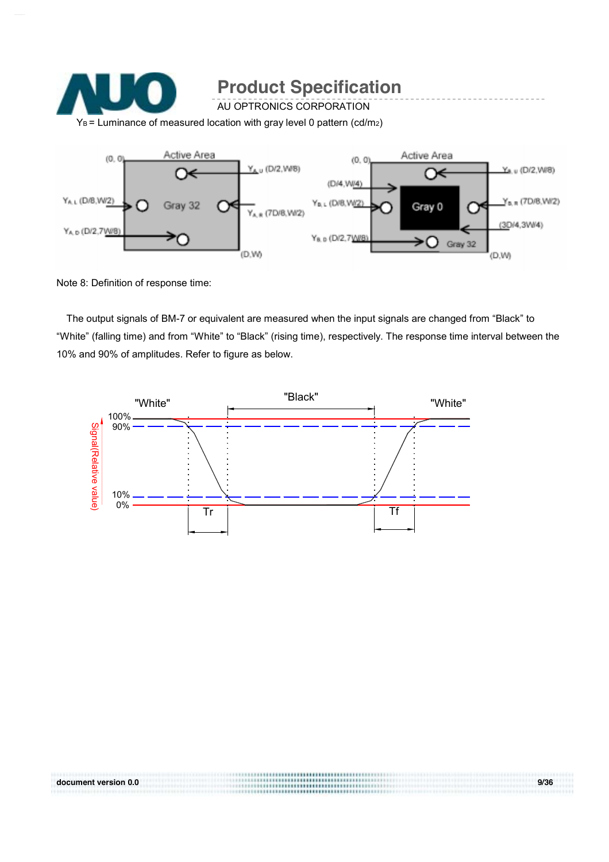

Note 8: Definition of response time:

The output signals of BM-7 or equivalent are measured when the input signals are changed from "Black" to "White" (falling time) and from "White" to "Black" (rising time), respectively. The response time interval between the 10% and 90% of amplitudes. Refer to figure as below.

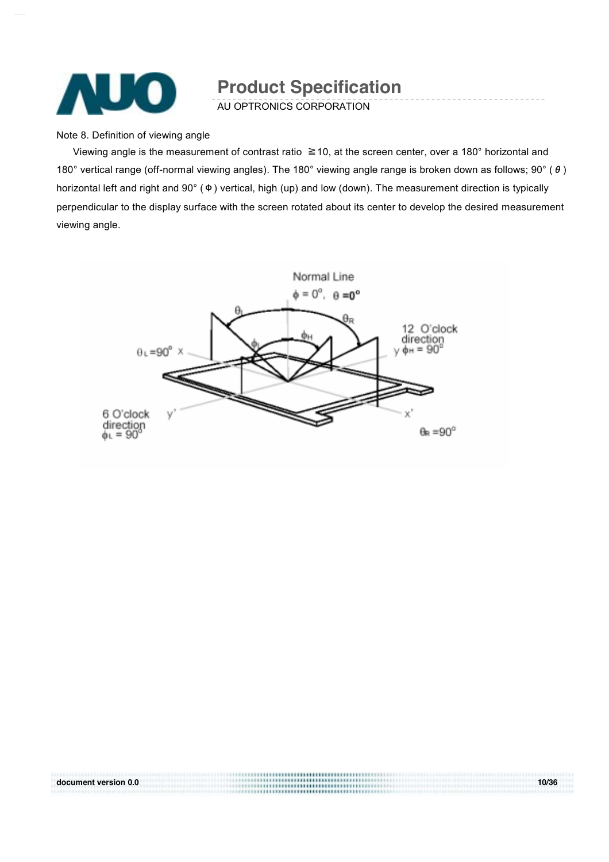

AU OPTRONICS CORPORATION

Note 8. Definition of viewing angle

Viewing angle is the measurement of contrast ratio ≧10, at the screen center, over a 180° horizontal and 180° vertical range (off-normal viewing angles). The 180° viewing angle range is broken down as follows; 90° (θ) horizontal left and right and 90° (Φ) vertical, high (up) and low (down). The measurement direction is typically perpendicular to the display surface with the screen rotated about its center to develop the desired measurement viewing angle.

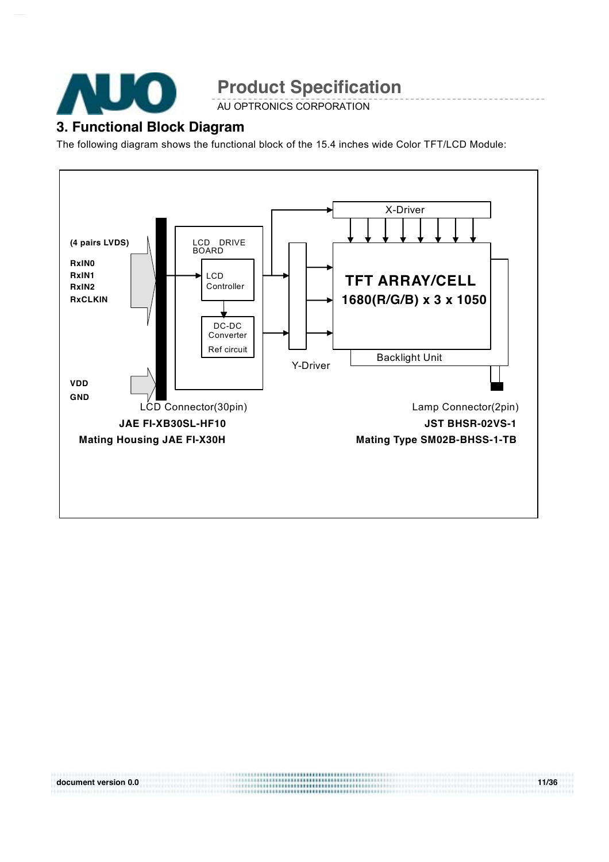

AU OPTRONICS CORPORATION

### **3. Functional Block Diagram**

The following diagram shows the functional block of the 15.4 inches wide Color TFT/LCD Module:

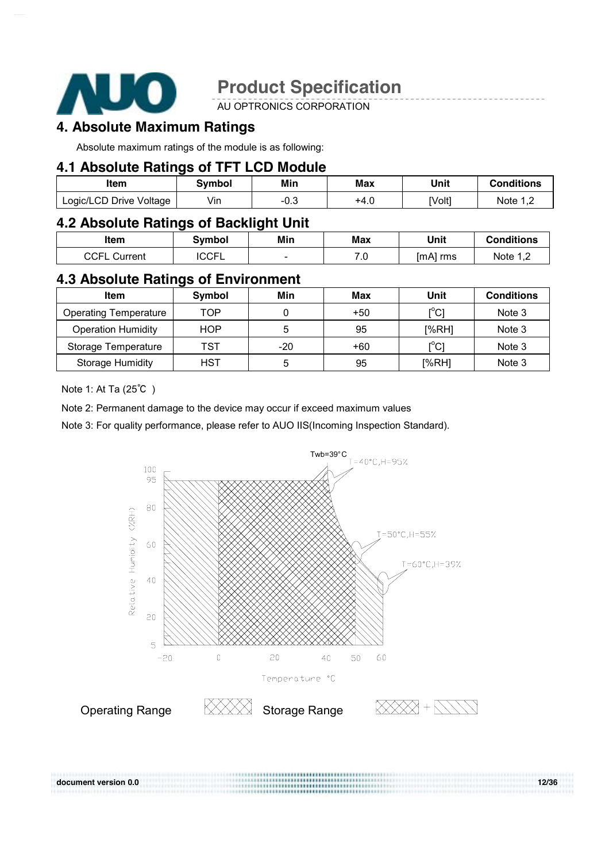

AU OPTRONICS CORPORATION

### **4. Absolute Maximum Ratings**

Absolute maximum ratings of the module is as following:

### **4.1 Absolute Ratings of TFT LCD Module**

| Item                    | Svmbol | Min  | Max  | Unit   | <b>Conditions</b> |
|-------------------------|--------|------|------|--------|-------------------|
| Logic/LCD Drive Voltage | Vin    | -0.3 | +4.∪ | [Volt] | Note 1,2          |

### **4.2 Absolute Ratings of Backlight Unit**

| <b>Item</b>         | Svmbol       | Min | Max        | Unit     | Conditions |
|---------------------|--------------|-----|------------|----------|------------|
| <b>CCFL Current</b> | <b>ICCFL</b> | -   | י -<br>. ب | [mA] rms | Note $1,2$ |

### **4.3 Absolute Ratings of Environment**

| Item                         | Symbol     | Min   | Max   | Unit  | <b>Conditions</b> |
|------------------------------|------------|-------|-------|-------|-------------------|
| <b>Operating Temperature</b> | TOP        |       | $+50$ | [°C]  | Note 3            |
| <b>Operation Humidity</b>    | <b>HOP</b> | 5     | 95    | [%RH] | Note 3            |
| Storage Temperature          | TST        | $-20$ | $+60$ | [°C]  | Note 3            |
| <b>Storage Humidity</b>      | <b>HST</b> | 5     | 95    | [%RH] | Note 3            |

Note 1: At Ta (25℃ )

document version 0.0

Note 2: Permanent damage to the device may occur if exceed maximum values

Note 3: For quality performance, please refer to AUO IIS(Incoming Inspection Standard).



**document version 0.0 12/36**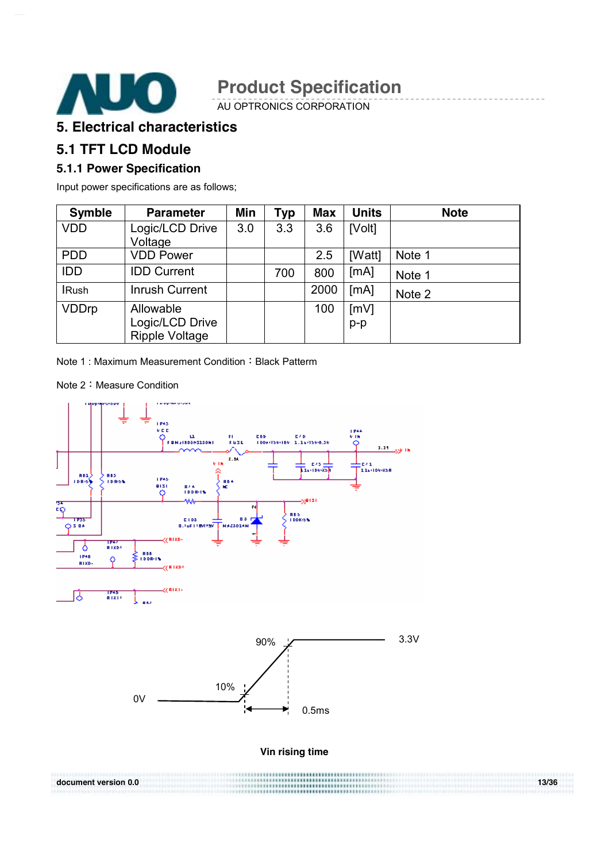

AU OPTRONICS CORPORATION

### **5. Electrical characteristics**

### **5.1 TFT LCD Module**

#### **5.1.1 Power Specification**

Input power specifications are as follows;

| <b>Symble</b> | <b>Parameter</b>                                      | Min | Typ | <b>Max</b> | <b>Units</b>  | <b>Note</b> |
|---------------|-------------------------------------------------------|-----|-----|------------|---------------|-------------|
| <b>VDD</b>    | Logic/LCD Drive<br>Voltage                            | 3.0 | 3.3 | 3.6        | [Volt]        |             |
| <b>PDD</b>    | <b>VDD Power</b>                                      |     |     | 2.5        | [Watt]        | Note 1      |
| <b>IDD</b>    | <b>IDD Current</b>                                    |     | 700 | 800        | [mA]          | Note 1      |
| <b>IRush</b>  | <b>Inrush Current</b>                                 |     |     | 2000       | [mA]          | Note 2      |
| <b>VDDrp</b>  | Allowable<br>Logic/LCD Drive<br><b>Ripple Voltage</b> |     |     | 100        | [mV]<br>$p-p$ |             |

Note 1 : Maximum Measurement Condition: Black Patterm

Note 2:Measure Condition

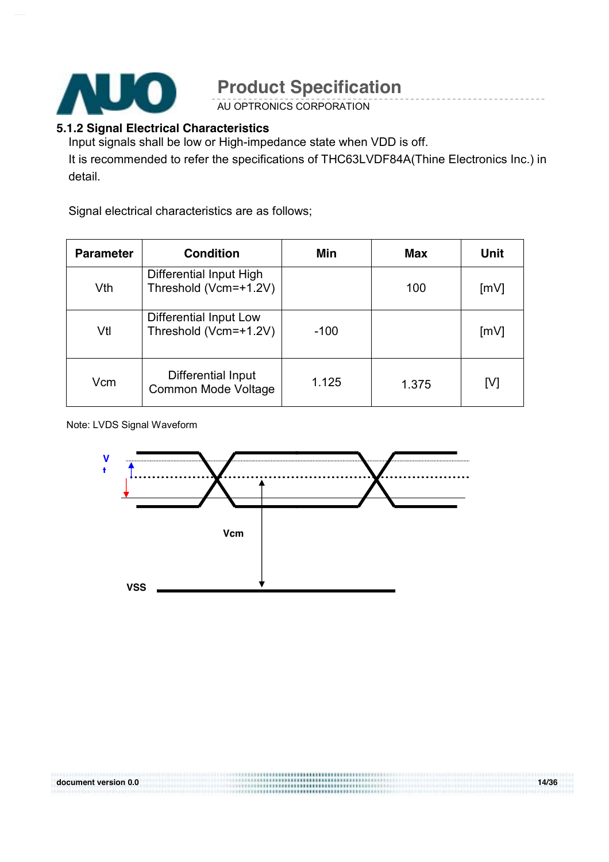

AU OPTRONICS CORPORATION

#### **5.1.2 Signal Electrical Characteristics**

Input signals shall be low or High-impedance state when VDD is off. It is recommended to refer the specifications of THC63LVDF84A(Thine Electronics Inc.) in detail.

Signal electrical characteristics are as follows;

| <b>Parameter</b> | <b>Condition</b>                                 | Min    | Max   | <b>Unit</b> |
|------------------|--------------------------------------------------|--------|-------|-------------|
| Vth              | Differential Input High<br>Threshold (Vcm=+1.2V) |        | 100   | [mV]        |
| Vtl              | Differential Input Low<br>Threshold (Vcm=+1.2V)  | $-100$ |       | [mV]        |
| Vcm              | Differential Input<br>Common Mode Voltage        | 1.125  | 1.375 | [V]         |

Note: LVDS Signal Waveform

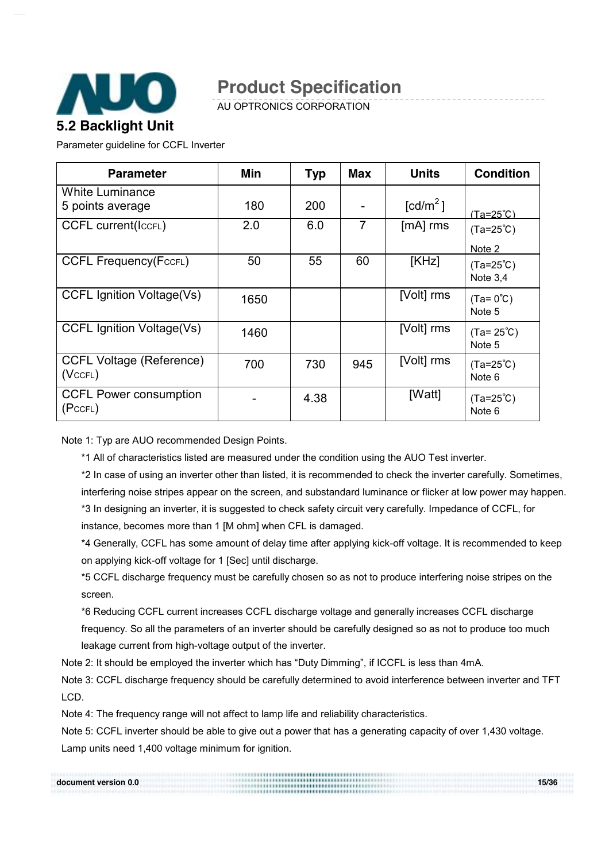

AU OPTRONICS CORPORATION

Parameter guideline for CCFL Inverter

| <b>Parameter</b>                                 | Min  | <b>Typ</b> | <b>Max</b>     | <b>Units</b>                                 | <b>Condition</b>                 |
|--------------------------------------------------|------|------------|----------------|----------------------------------------------|----------------------------------|
| <b>White Luminance</b><br>5 points average       | 180  | 200        |                | $\lceil \frac{\text{cd}}{\text{m}^2} \rceil$ | <u>(Ta=25℃)</u>                  |
| <b>CCFL current(ICCFL)</b>                       | 2.0  | 6.0        | $\overline{7}$ | [mA] rms                                     | $(Ta=25^{\circ}C)$<br>Note 2     |
| <b>CCFL Frequency(FccFL)</b>                     | 50   | 55         | 60             | [KHz]                                        | $(Ta=25^{\circ}C)$<br>Note $3.4$ |
| <b>CCFL Ignition Voltage(Vs)</b>                 | 1650 |            |                | [Volt] rms                                   | $(Ta=0^{\circ}C)$<br>Note 5      |
| CCFL Ignition Voltage(Vs)                        | 1460 |            |                | [Volt] rms                                   | $(Ta = 25^{\circ}C)$<br>Note 5   |
| <b>CCFL Voltage (Reference)</b><br>$(Vc$ CFL $)$ | 700  | 730        | 945            | [Volt] rms                                   | $(Ta=25^{\circ}C)$<br>Note 6     |
| <b>CCFL Power consumption</b><br>(PccFL)         |      | 4.38       |                | [Watt]                                       | $(Ta=25^{\circ}C)$<br>Note 6     |

Note 1: Typ are AUO recommended Design Points.

\*1 All of characteristics listed are measured under the condition using the AUO Test inverter.

\*2 In case of using an inverter other than listed, it is recommended to check the inverter carefully. Sometimes, interfering noise stripes appear on the screen, and substandard luminance or flicker at low power may happen. \*3 In designing an inverter, it is suggested to check safety circuit very carefully. Impedance of CCFL, for

instance, becomes more than 1 [M ohm] when CFL is damaged.

\*4 Generally, CCFL has some amount of delay time after applying kick-off voltage. It is recommended to keep on applying kick-off voltage for 1 [Sec] until discharge.

\*5 CCFL discharge frequency must be carefully chosen so as not to produce interfering noise stripes on the screen.

\*6 Reducing CCFL current increases CCFL discharge voltage and generally increases CCFL discharge frequency. So all the parameters of an inverter should be carefully designed so as not to produce too much leakage current from high-voltage output of the inverter.

Note 2: It should be employed the inverter which has "Duty Dimming", if ICCFL is less than 4mA.

Note 3: CCFL discharge frequency should be carefully determined to avoid interference between inverter and TFT LCD.

Note 4: The frequency range will not affect to lamp life and reliability characteristics.

Note 5: CCFL inverter should be able to give out a power that has a generating capacity of over 1,430 voltage. Lamp units need 1,400 voltage minimum for ignition.

|                      | ,,,,,,,,,,,,,,,,,,,,<br> |       |
|----------------------|--------------------------|-------|
| document version 0.0 | <br><br>.                | 15/36 |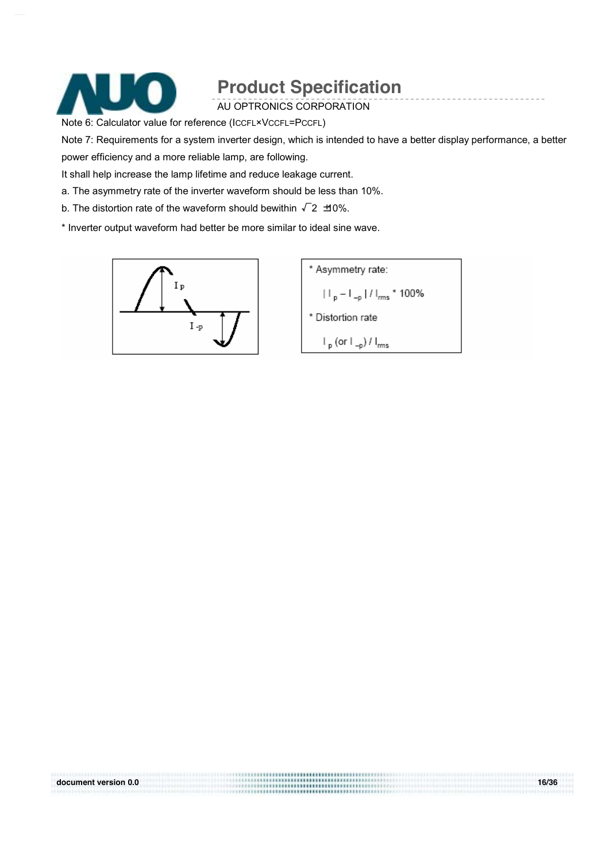

AU OPTRONICS CORPORATION

Note 6: Calculator value for reference (ICCFL×VCCFL=PCCFL)

Note 7: Requirements for a system inverter design, which is intended to have a better display performance, a better

power efficiency and a more reliable lamp, are following.

It shall help increase the lamp lifetime and reduce leakage current.

a. The asymmetry rate of the inverter waveform should be less than 10%.

b. The distortion rate of the waveform should bewithin  $\sqrt{2}$   $\pm$ 0%.

\* Inverter output waveform had better be more similar to ideal sine wave.



\* Asymmetry rate:  $|||_{p} - |||_{-p} ||/||_{rms} * 100\%$ \* Distortion rate  $\mathsf{I}_{\mathsf{p}}$  (or  $\mathsf{I}_{\mathsf{-p}}$ ) /  $\mathsf{I}_{\mathsf{rms}}$ 

document version 0.0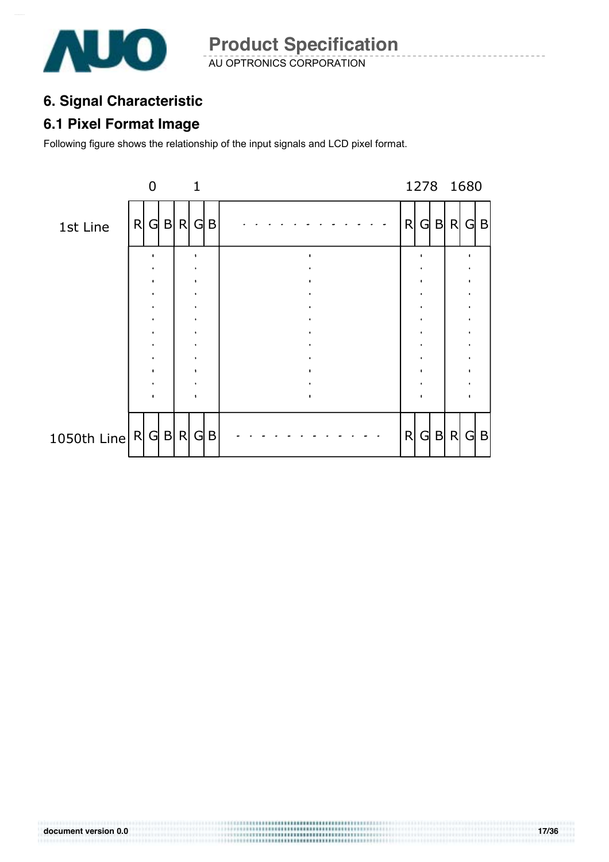

AU OPTRONICS CORPORATION **Product Specification** 

## **6. Signal Characteristic**

### **6.1 Pixel Format Image**

Following figure shows the relationship of the input signals and LCD pixel format.

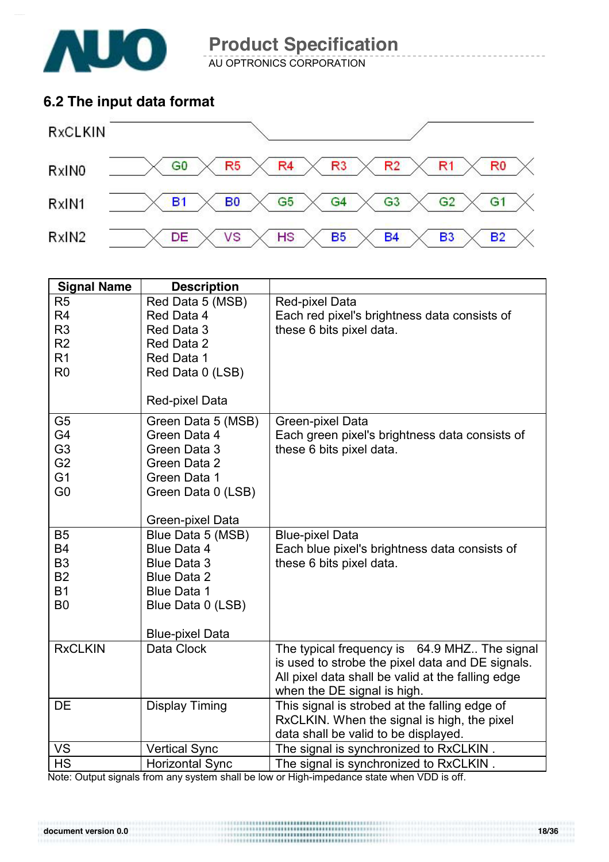

AU OPTRONICS CORPORATION

### **6.2 The input data format**



| <b>Signal Name</b> | <b>Description</b>                    |                                                   |
|--------------------|---------------------------------------|---------------------------------------------------|
| R <sub>5</sub>     | Red Data 5 (MSB)                      | Red-pixel Data                                    |
| R <sub>4</sub>     | Red Data 4                            | Each red pixel's brightness data consists of      |
| R <sub>3</sub>     | Red Data 3                            | these 6 bits pixel data.                          |
| R <sub>2</sub>     | Red Data 2                            |                                                   |
| R <sub>1</sub>     | Red Data 1                            |                                                   |
| R <sub>0</sub>     | Red Data 0 (LSB)                      |                                                   |
|                    | Red-pixel Data                        |                                                   |
| G <sub>5</sub>     | Green Data 5 (MSB)                    | Green-pixel Data                                  |
| G <sub>4</sub>     | Green Data 4                          | Each green pixel's brightness data consists of    |
| G <sub>3</sub>     | Green Data 3                          | these 6 bits pixel data.                          |
| G <sub>2</sub>     | Green Data 2                          |                                                   |
| G <sub>1</sub>     | Green Data 1                          |                                                   |
| G <sub>0</sub>     | Green Data 0 (LSB)                    |                                                   |
|                    |                                       |                                                   |
| <b>B5</b>          | Green-pixel Data<br>Blue Data 5 (MSB) | <b>Blue-pixel Data</b>                            |
| <b>B4</b>          | <b>Blue Data 4</b>                    | Each blue pixel's brightness data consists of     |
| B <sub>3</sub>     | <b>Blue Data 3</b>                    | these 6 bits pixel data.                          |
| <b>B2</b>          | <b>Blue Data 2</b>                    |                                                   |
| <b>B1</b>          | <b>Blue Data 1</b>                    |                                                   |
| B <sub>0</sub>     | Blue Data 0 (LSB)                     |                                                   |
|                    |                                       |                                                   |
|                    | <b>Blue-pixel Data</b>                |                                                   |
| <b>RxCLKIN</b>     | Data Clock                            | The typical frequency is 64.9 MHZ. The signal     |
|                    |                                       | is used to strobe the pixel data and DE signals.  |
|                    |                                       | All pixel data shall be valid at the falling edge |
|                    |                                       | when the DE signal is high.                       |
| <b>DE</b>          | <b>Display Timing</b>                 | This signal is strobed at the falling edge of     |
|                    |                                       | RxCLKIN. When the signal is high, the pixel       |
|                    |                                       | data shall be valid to be displayed.              |
| <b>VS</b>          | <b>Vertical Sync</b>                  | The signal is synchronized to RxCLKIN.            |
| <b>HS</b>          | <b>Horizontal Sync</b>                | The signal is synchronized to RxCLKIN.            |

Note: Output signals from any system shall be low or High-impedance state when VDD is off.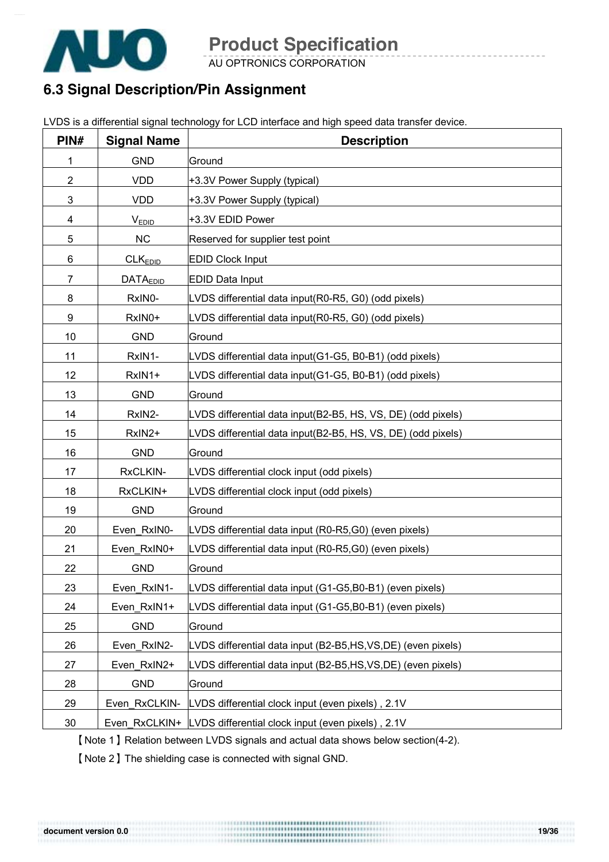

AU OPTRONICS CORPORATION

## **6.3 Signal Description/Pin Assignment**

|  | LVDS is a differential signal technology for LCD interface and high speed data transfer device. |  |
|--|-------------------------------------------------------------------------------------------------|--|
|  |                                                                                                 |  |

| PIN# | <b>Signal Name</b>  | <b>Description</b>                                              |
|------|---------------------|-----------------------------------------------------------------|
| 1    | <b>GND</b>          | Ground                                                          |
| 2    | <b>VDD</b>          | +3.3V Power Supply (typical)                                    |
| 3    | <b>VDD</b>          | +3.3V Power Supply (typical)                                    |
| 4    | <b>VEDID</b>        | +3.3V EDID Power                                                |
| 5    | NC                  | Reserved for supplier test point                                |
| 6    | CLK <sub>EDID</sub> | <b>EDID Clock Input</b>                                         |
| 7    | <b>DATAEDID</b>     | <b>EDID Data Input</b>                                          |
| 8    | RxIN0-              | LVDS differential data input(R0-R5, G0) (odd pixels)            |
| 9    | RxIN0+              | LVDS differential data input(R0-R5, G0) (odd pixels)            |
| 10   | <b>GND</b>          | Ground                                                          |
| 11   | RxIN1-              | LVDS differential data input(G1-G5, B0-B1) (odd pixels)         |
| 12   | RxIN1+              | LVDS differential data input(G1-G5, B0-B1) (odd pixels)         |
| 13   | <b>GND</b>          | Ground                                                          |
| 14   | RxIN2-              | LVDS differential data input(B2-B5, HS, VS, DE) (odd pixels)    |
| 15   | RxIN2+              | LVDS differential data input(B2-B5, HS, VS, DE) (odd pixels)    |
| 16   | <b>GND</b>          | Ground                                                          |
| 17   | RxCLKIN-            | LVDS differential clock input (odd pixels)                      |
| 18   | RxCLKIN+            | LVDS differential clock input (odd pixels)                      |
| 19   | <b>GND</b>          | Ground                                                          |
| 20   | Even RxIN0-         | LVDS differential data input (R0-R5,G0) (even pixels)           |
| 21   | Even RxIN0+         | LVDS differential data input (R0-R5,G0) (even pixels)           |
| 22   | <b>GND</b>          | Ground                                                          |
| 23   | Even RxIN1-         | LVDS differential data input (G1-G5,B0-B1) (even pixels)        |
| 24   | Even RxIN1+         | LVDS differential data input (G1-G5,B0-B1) (even pixels)        |
| 25   | <b>GND</b>          | Ground                                                          |
| 26   | Even_RxIN2-         | LVDS differential data input (B2-B5,HS,VS,DE) (even pixels)     |
| 27   | Even_RxIN2+         | LVDS differential data input (B2-B5,HS,VS,DE) (even pixels)     |
| 28   | <b>GND</b>          | Ground                                                          |
| 29   | Even RxCLKIN-       | LVDS differential clock input (even pixels), 2.1V               |
| 30   |                     | Even_RxCLKIN+ LVDS differential clock input (even pixels), 2.1V |

【Note 1】Relation between LVDS signals and actual data shows below section(4-2).

【Note 2】The shielding case is connected with signal GND.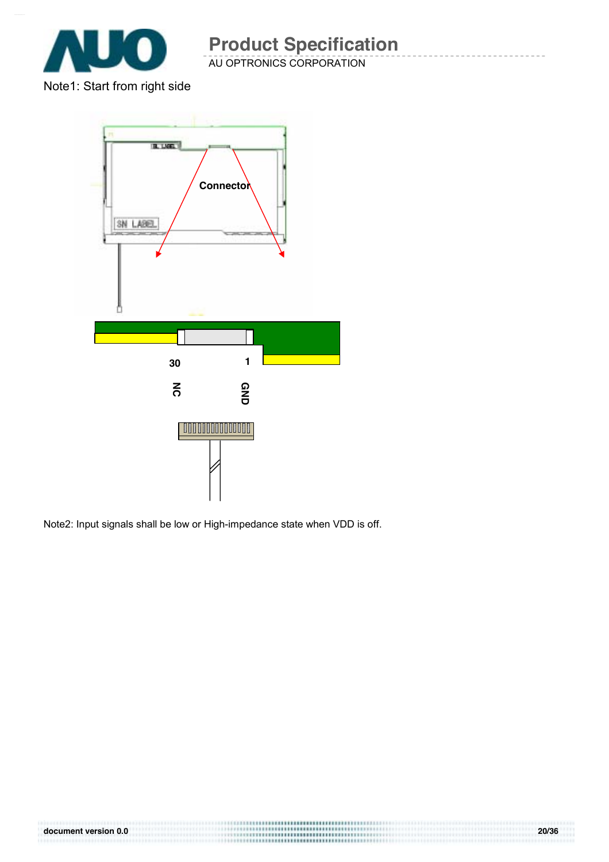

Note1: Start from right side



Note2: Input signals shall be low or High-impedance state when VDD is off.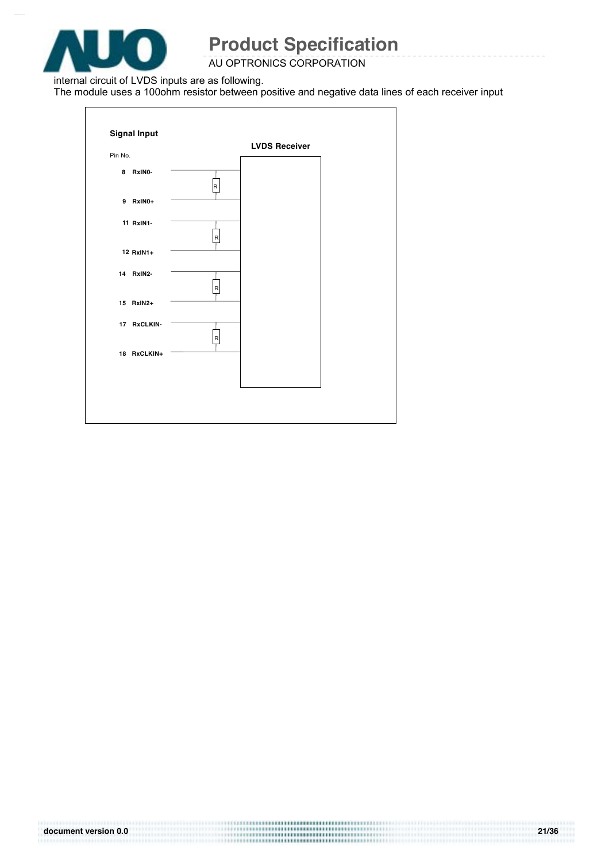

### AU OPTRONICS CORPORATION

internal circuit of LVDS inputs are as following.

The module uses a 100ohm resistor between positive and negative data lines of each receiver input

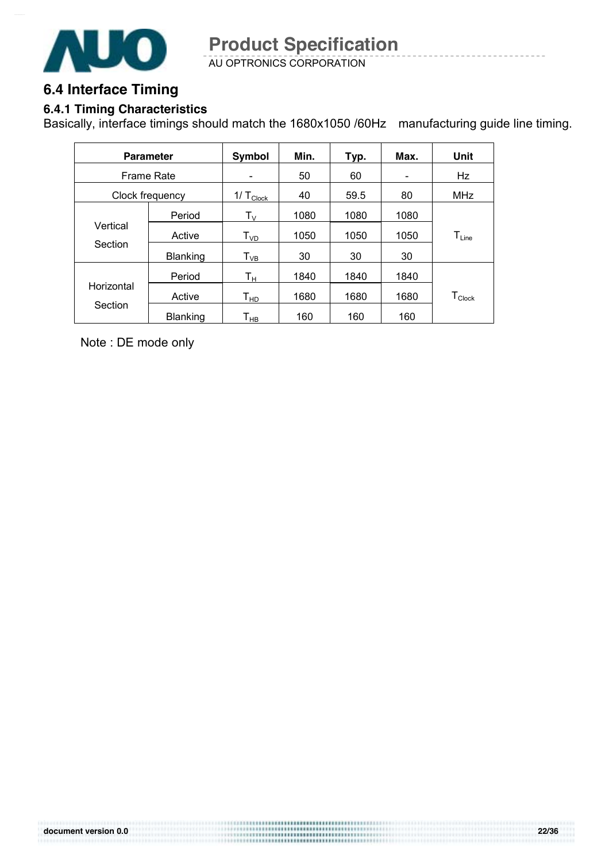

AU OPTRONICS CORPORATION **Product Specification** 

## **6.4 Interface Timing**

### **6.4.1 Timing Characteristics**

Basically, interface timings should match the 1680x1050 /60Hz manufacturing guide line timing.

|                   | <b>Parameter</b> | <b>Symbol</b>                | Min. | Typ. | Max.                     | Unit               |
|-------------------|------------------|------------------------------|------|------|--------------------------|--------------------|
| <b>Frame Rate</b> |                  | $\qquad \qquad \blacksquare$ | 50   | 60   | $\overline{\phantom{0}}$ | Hz                 |
|                   | Clock frequency  | $1/\top_{\text{Clock}}$      | 40   | 59.5 | 80                       | <b>MHz</b>         |
|                   | Period           | $T_{\rm V}$                  | 1080 | 1080 | 1080                     |                    |
| Vertical          | Active           | T <sub>VD</sub>              | 1050 | 1050 | 1050                     | $T_{Line}$         |
| Section           | <b>Blanking</b>  | $\mathsf{T}_{\mathsf{VB}}$   | 30   | 30   | 30                       |                    |
|                   | Period           | Tн                           | 1840 | 1840 | 1840                     |                    |
| Horizontal        | Active           | Т <sub>нр</sub>              | 1680 | 1680 | 1680                     | $T_{\text{Clock}}$ |
| Section           | Blanking         | $\mathsf{T}_{\mathsf{HB}}$   | 160  | 160  | 160                      |                    |

Note : DE mode only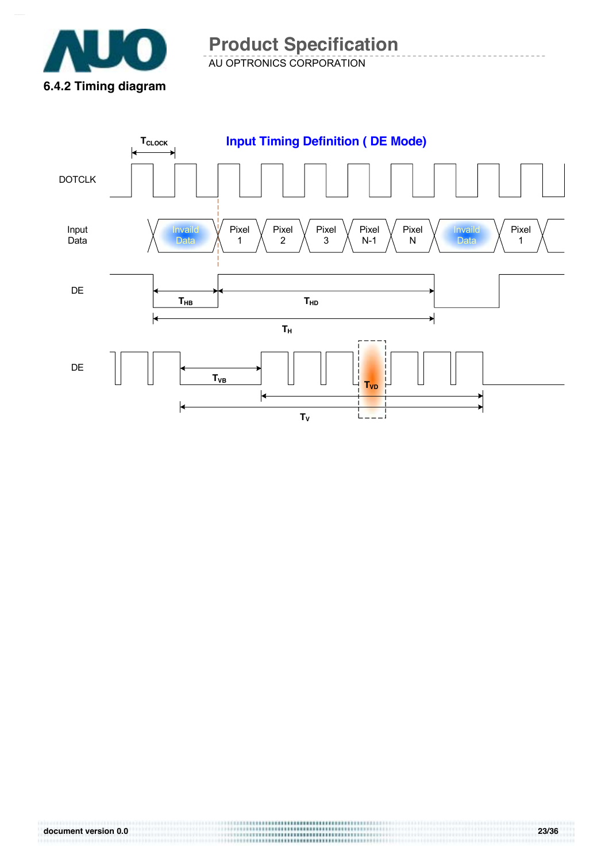

AU OPTRONICS CORPORATION **Product Specification** 

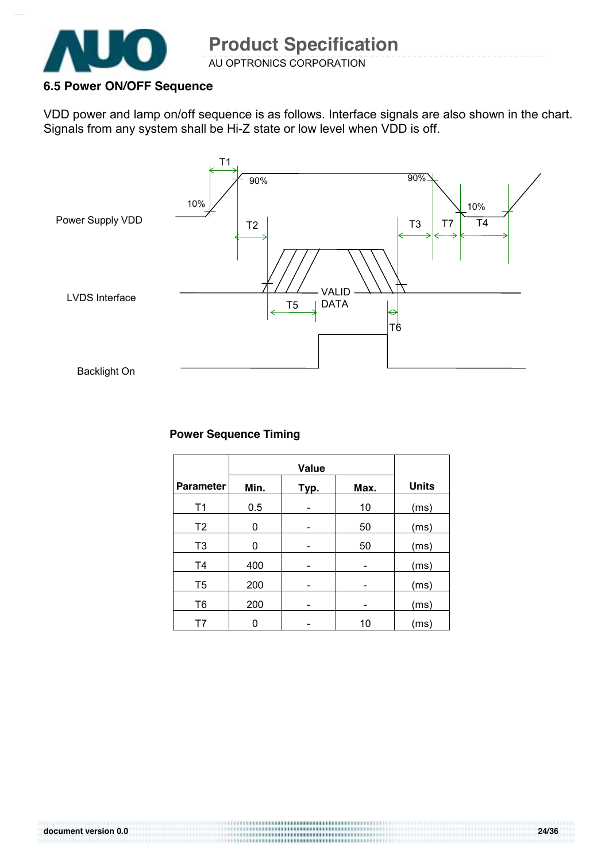

### **6.5 Power ON/OFF Sequence**

VDD power and lamp on/off sequence is as follows. Interface signals are also shown in the chart. Signals from any system shall be Hi-Z state or low level when VDD is off.



#### **Power Sequence Timing**

|                  | Value |      |      |              |
|------------------|-------|------|------|--------------|
| <b>Parameter</b> | Min.  | Typ. | Max. | <b>Units</b> |
| T <sub>1</sub>   | 0.5   |      | 10   | (ms)         |
| T <sub>2</sub>   | 0     |      | 50   | (ms)         |
| T <sub>3</sub>   | 0     |      | 50   | (ms)         |
| T <sub>4</sub>   | 400   |      |      | (ms)         |
| T <sub>5</sub>   | 200   |      |      | (ms)         |
| T <sub>6</sub>   | 200   |      |      | (ms)         |
| Т7               |       |      | 10   | (ms)         |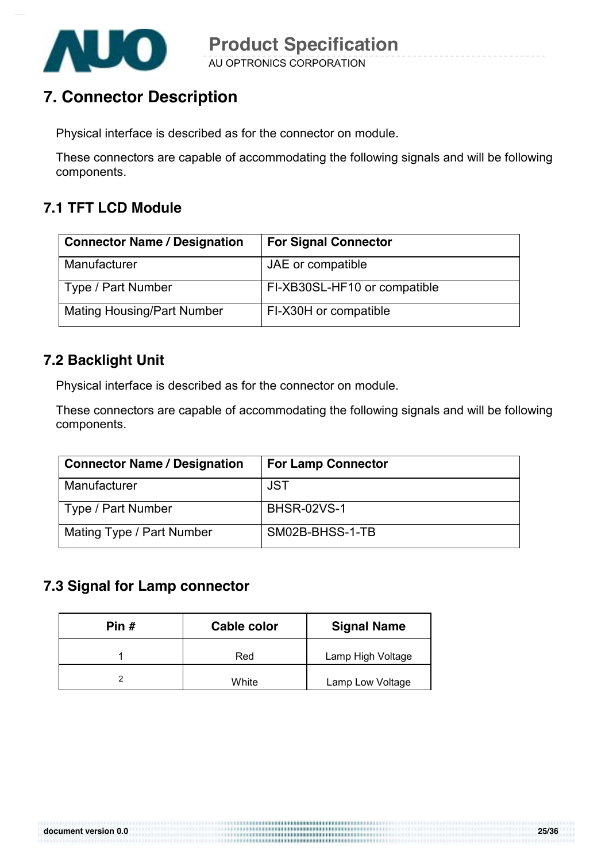

# **7. Connector Description**

Physical interface is described as for the connector on module.

These connectors are capable of accommodating the following signals and will be following components.

### **7.1 TFT LCD Module**

| <b>Connector Name / Designation</b> | <b>For Signal Connector</b>  |
|-------------------------------------|------------------------------|
| Manufacturer                        | JAE or compatible            |
| Type / Part Number                  | FI-XB30SL-HF10 or compatible |
| <b>Mating Housing/Part Number</b>   | FI-X30H or compatible        |

### **7.2 Backlight Unit**

Physical interface is described as for the connector on module.

These connectors are capable of accommodating the following signals and will be following components.

| <b>Connector Name / Designation</b> | <b>For Lamp Connector</b> |
|-------------------------------------|---------------------------|
| Manufacturer                        | <b>JST</b>                |
| Type / Part Number                  | <b>BHSR-02VS-1</b>        |
| Mating Type / Part Number           | SM02B-BHSS-1-TB           |

### **7.3 Signal for Lamp connector**

| Pin $#$ | Cable color | <b>Signal Name</b> |
|---------|-------------|--------------------|
|         | Red         | Lamp High Voltage  |
|         | White       | Lamp Low Voltage   |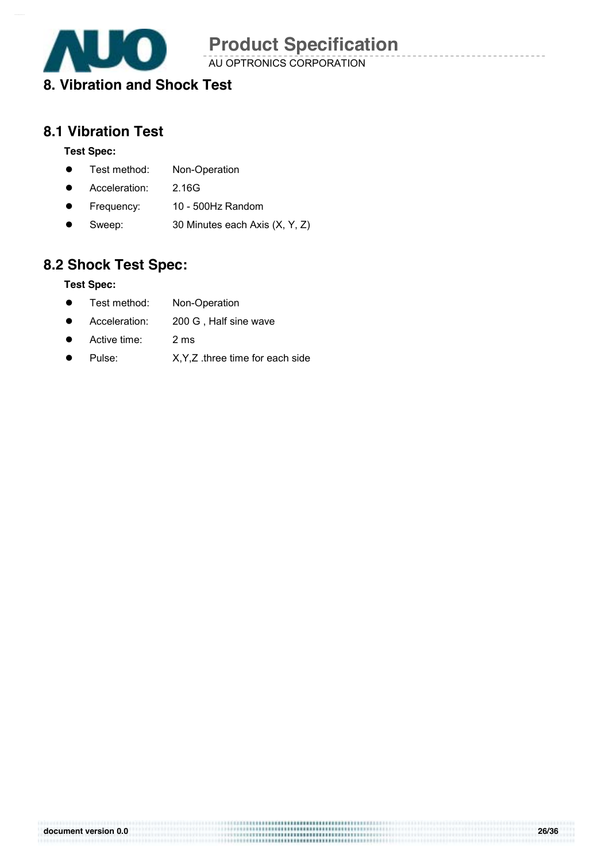

AU OPTRONICS CORPORATION

## **8. Vibration and Shock Test**

### **8.1 Vibration Test**

#### **Test Spec:**

- **•** Test method: Non-Operation
- **•** Acceleration: 2.16G
- Frequency: 10 500Hz Random
- Sweep: 30 Minutes each Axis (X, Y, Z)

## **8.2 Shock Test Spec:**

#### **Test Spec:**

- Test method: Non-Operation
- Acceleration: 200 G, Half sine wave
- Active time: 2 ms
- Pulse: X, Y, Z .three time for each side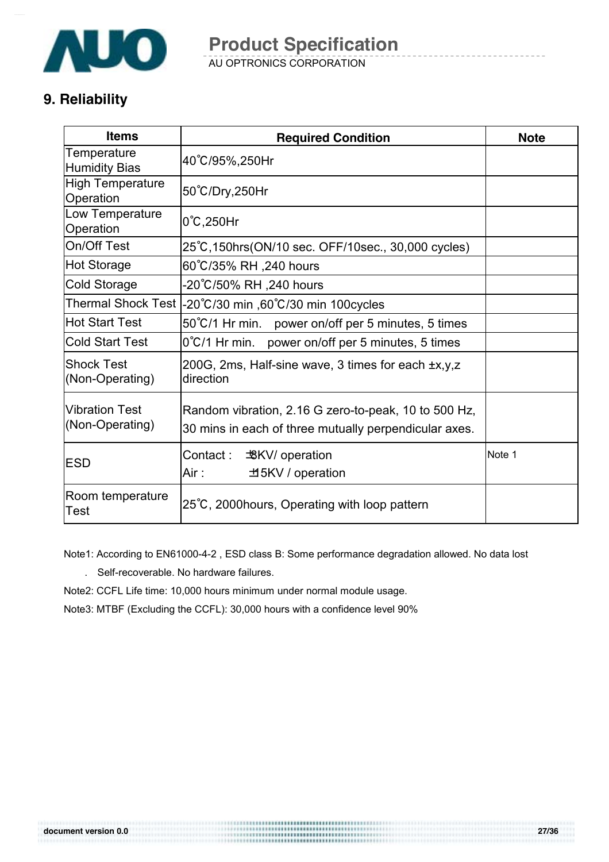

AU OPTRONICS CORPORATION **Product Specification** 

## **9. Reliability**

| <b>Items</b>                             | <b>Required Condition</b>                                                                                     | <b>Note</b> |
|------------------------------------------|---------------------------------------------------------------------------------------------------------------|-------------|
| Temperature<br><b>Humidity Bias</b>      | 40°C/95%,250Hr                                                                                                |             |
| <b>High Temperature</b><br>Operation     | 50°C/Dry,250Hr                                                                                                |             |
| Low Temperature<br>Operation             | $0^{\circ}$ C, 250Hr                                                                                          |             |
| On/Off Test                              | 25°C, 150hrs (ON/10 sec. OFF/10sec., 30,000 cycles)                                                           |             |
| <b>Hot Storage</b>                       | 60°C/35% RH ,240 hours                                                                                        |             |
| <b>Cold Storage</b>                      | 20℃/50% RH ,240 hours.-                                                                                       |             |
|                                          | Thermal Shock Test  -20°C/30 min ,60°C/30 min 100cycles                                                       |             |
| <b>Hot Start Test</b>                    | 50°C/1 Hr min. power on/off per 5 minutes, 5 times                                                            |             |
| <b>Cold Start Test</b>                   | 0°C/1 Hr min. power on/off per 5 minutes, 5 times                                                             |             |
| <b>Shock Test</b><br>(Non-Operating)     | 200G, 2ms, Half-sine wave, 3 times for each ±x,y,z<br>direction                                               |             |
| <b>Vibration Test</b><br>(Non-Operating) | Random vibration, 2.16 G zero-to-peak, 10 to 500 Hz,<br>30 mins in each of three mutually perpendicular axes. |             |
| <b>ESD</b>                               | Contact :<br><b>BKV</b> / operation<br>Air :<br>±5KV / operation                                              | Note 1      |
| Room temperature<br>Test                 | 25°C, 2000 hours, Operating with loop pattern                                                                 |             |

Note1: According to EN61000-4-2 , ESD class B: Some performance degradation allowed. No data lost

- . Self-recoverable. No hardware failures.
- Note2: CCFL Life time: 10,000 hours minimum under normal module usage.

Note3: MTBF (Excluding the CCFL): 30,000 hours with a confidence level 90%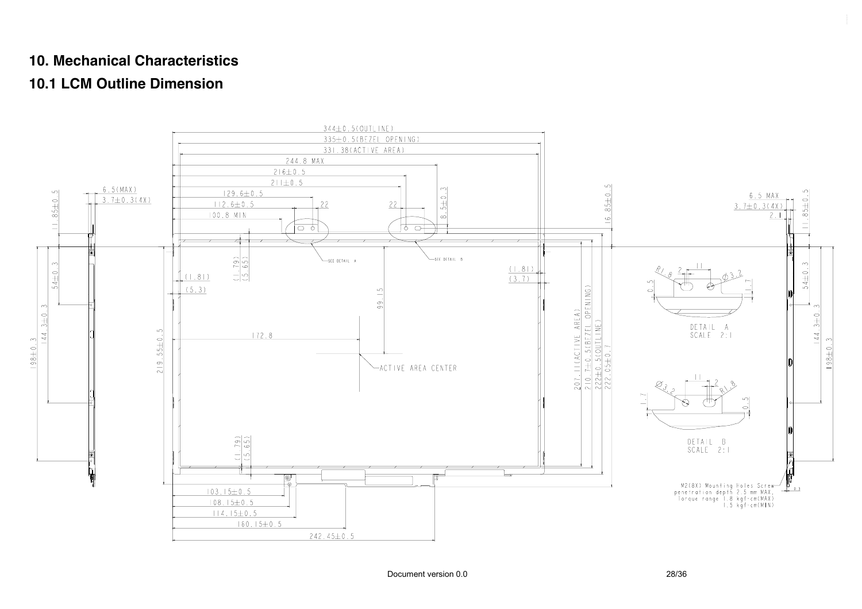### **10. Mechanical Characteristics**

## **10.1 LCM Outline Dimension**

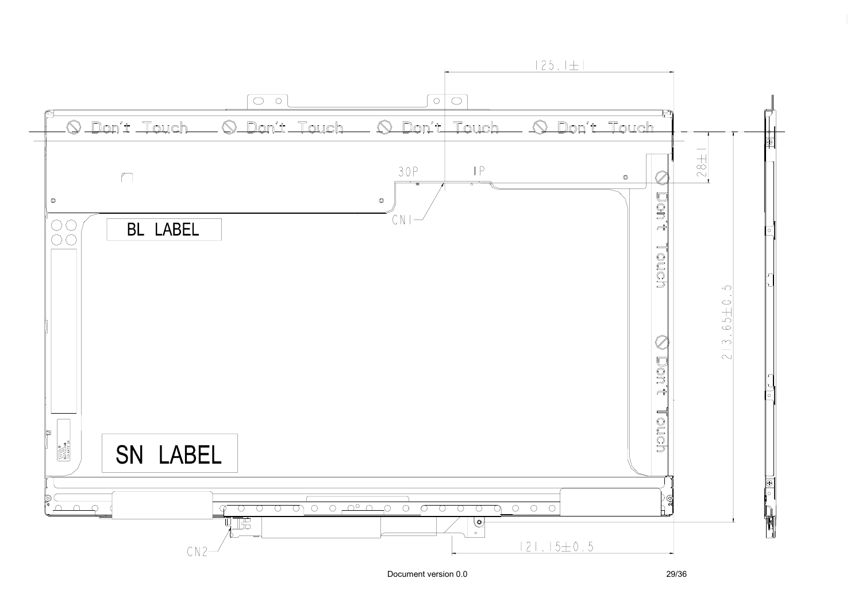

Document version 0.0 29/36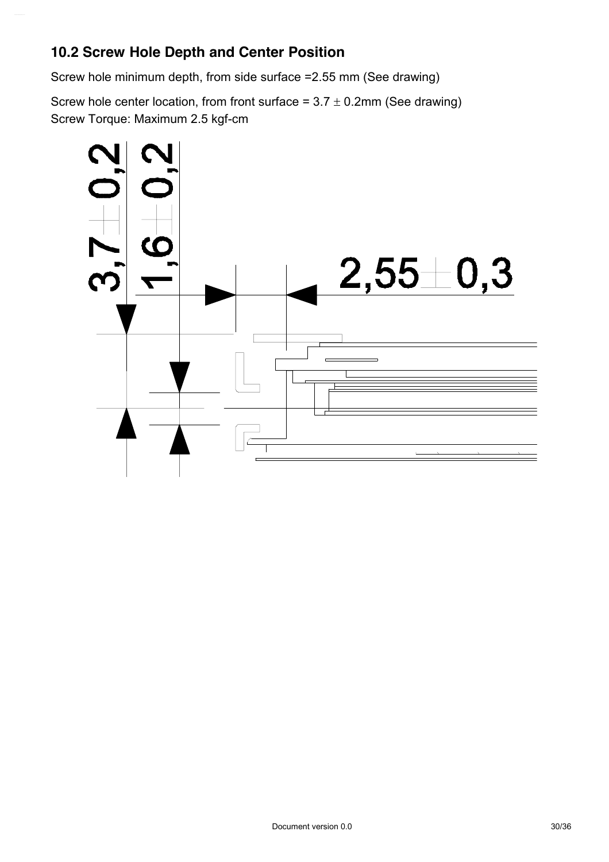## **10.2 Screw Hole Depth and Center Position**

Screw hole minimum depth, from side surface =2.55 mm (See drawing)

Screw hole center location, from front surface =  $3.7 \pm 0.2$ mm (See drawing) Screw Torque: Maximum 2.5 kgf-cm

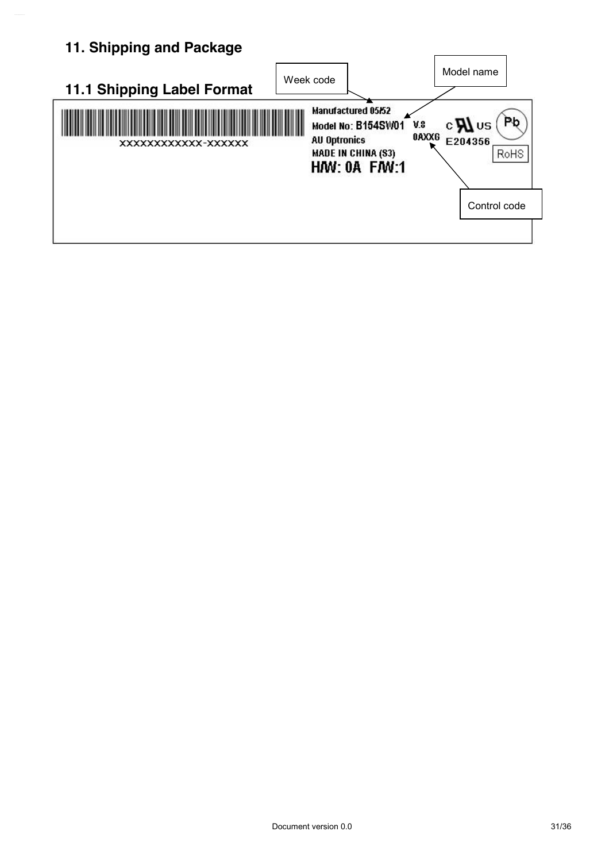# **11. Shipping and Package**

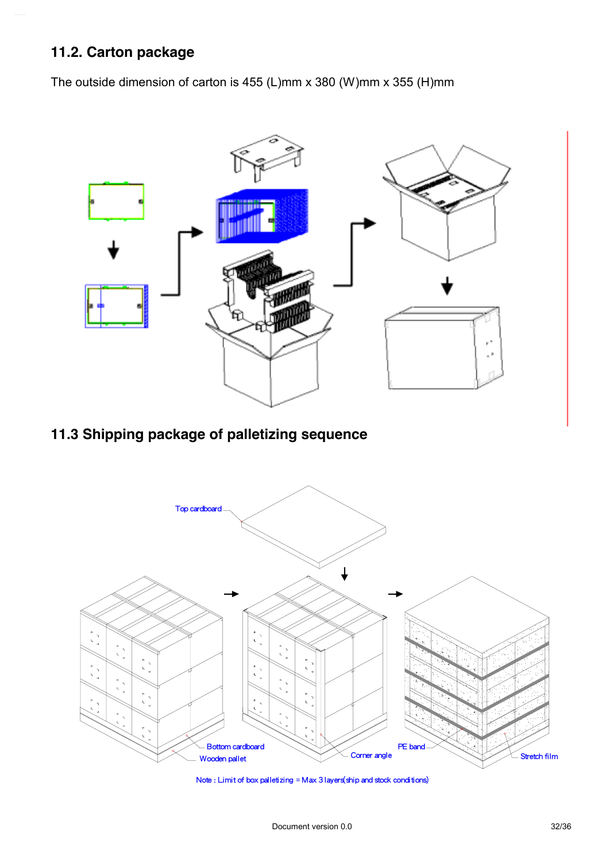## **11.2. Carton package**

The outside dimension of carton is 455 (L)mm x 380 (W)mm x 355 (H)mm



## **11.3 Shipping package of palletizing sequence**



Note : Limit of box palletizing = Max 3 layers(ship and stock conditions)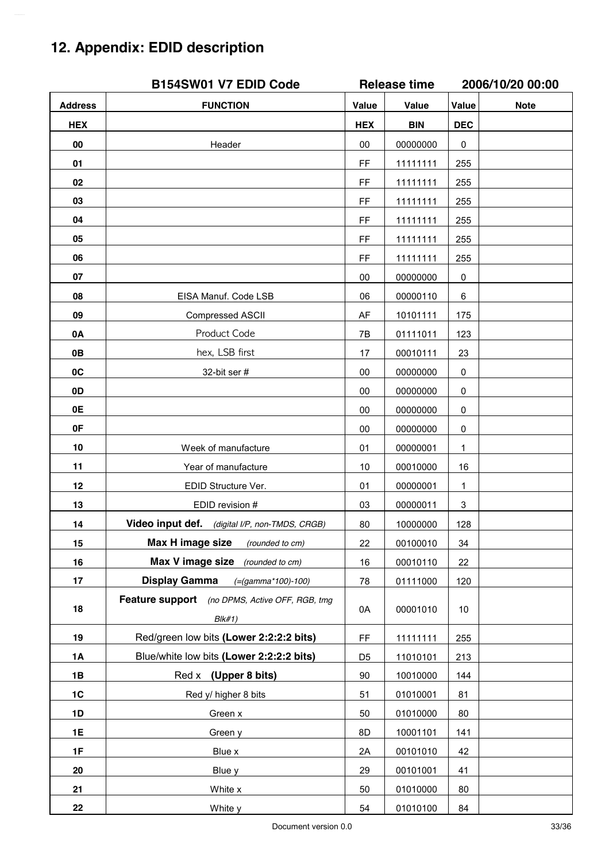# **12. Appendix: EDID description**

|                | B154SW01 V7 EDID Code                                    | <b>Release time</b> |            | 2006/10/20 00:00 |             |
|----------------|----------------------------------------------------------|---------------------|------------|------------------|-------------|
| <b>Address</b> | <b>FUNCTION</b>                                          | Value               | Value      | Value            | <b>Note</b> |
| <b>HEX</b>     |                                                          | <b>HEX</b>          | <b>BIN</b> | <b>DEC</b>       |             |
| 00             | Header                                                   | 00                  | 00000000   | 0                |             |
| 01             |                                                          | FF                  | 11111111   | 255              |             |
| 02             |                                                          | FF                  | 11111111   | 255              |             |
| 03             |                                                          | FF                  | 11111111   | 255              |             |
| 04             |                                                          | FF                  | 11111111   | 255              |             |
| 05             |                                                          | FF                  | 11111111   | 255              |             |
| 06             |                                                          | FF                  | 11111111   | 255              |             |
| 07             |                                                          | 00                  | 00000000   | 0                |             |
| 08             | EISA Manuf. Code LSB                                     | 06                  | 00000110   | 6                |             |
| 09             | Compressed ASCII                                         | AF                  | 10101111   | 175              |             |
| 0A             | Product Code                                             | 7B                  | 01111011   | 123              |             |
| 0B             | hex, LSB first                                           | 17                  | 00010111   | 23               |             |
| 0C             | 32-bit ser #                                             | $00\,$              | 00000000   | 0                |             |
| 0D             |                                                          | 00                  | 00000000   | $\mathbf 0$      |             |
| 0E             |                                                          | 00                  | 00000000   | 0                |             |
| 0F             |                                                          | 00                  | 00000000   | 0                |             |
| 10             | Week of manufacture                                      | 01                  | 00000001   | 1                |             |
| 11             | Year of manufacture                                      | 10                  | 00010000   | 16               |             |
| 12             | EDID Structure Ver.                                      | 01                  | 00000001   | 1                |             |
| 13             | EDID revision #                                          | 03                  | 00000011   | 3                |             |
| 14             | Video input def.<br>(digital I/P, non-TMDS, CRGB)        | 80                  | 10000000   | 128              |             |
| 15             | Max H image size<br>(rounded to cm)                      | 22                  | 00100010   | 34               |             |
| 16             | Max V image size (rounded to cm)                         | 16                  | 00010110   | 22               |             |
| 17             | <b>Display Gamma</b><br>$( = (gamma * 100) - 100)$       | 78                  | 01111000   | 120              |             |
| 18             | Feature support (no DPMS, Active OFF, RGB, tmg<br>Blk#1) | 0A                  | 00001010   | 10               |             |
| 19             | Red/green low bits (Lower 2:2:2:2 bits)                  | FF                  | 11111111   | 255              |             |
| 1A             | Blue/white low bits (Lower 2:2:2:2 bits)                 | D <sub>5</sub>      | 11010101   | 213              |             |
| 1B             | Red x (Upper 8 bits)                                     | $90\,$              | 10010000   | 144              |             |
| 1C             | Red y/ higher 8 bits                                     | 51                  | 01010001   | 81               |             |
| 1D             | Green x                                                  | 50                  | 01010000   | 80               |             |
| 1E             | Green y                                                  | 8D                  | 10001101   | 141              |             |
| 1F             | Blue x                                                   | 2A                  | 00101010   | 42               |             |
| 20             | Blue y                                                   | 29                  | 00101001   | 41               |             |
| 21             | White x                                                  | 50                  | 01010000   | 80               |             |
| 22             | White y                                                  | 54                  | 01010100   | 84               |             |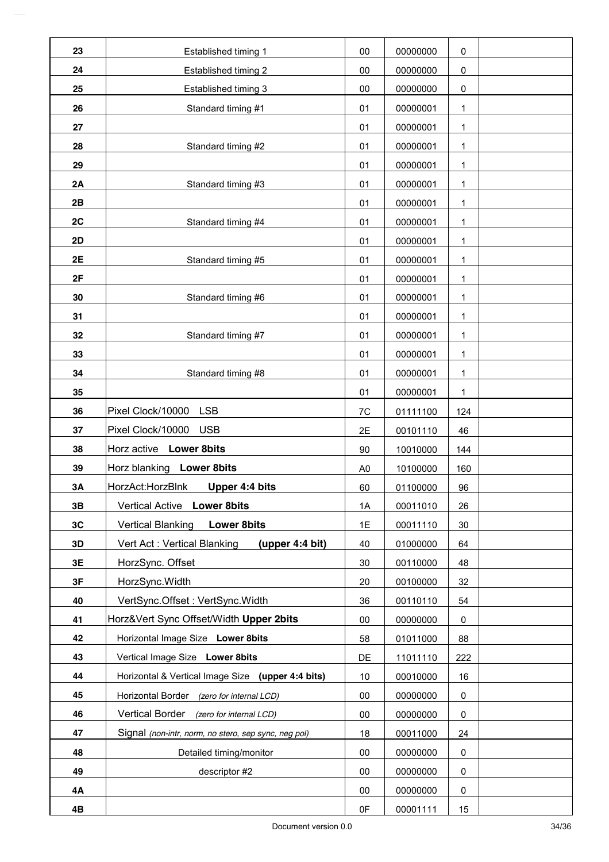| 23 | Established timing 1                                 | 00             | 00000000 | 0   |  |
|----|------------------------------------------------------|----------------|----------|-----|--|
| 24 | Established timing 2                                 | $00\,$         | 00000000 | 0   |  |
| 25 | Established timing 3                                 | 00             | 00000000 | 0   |  |
| 26 | Standard timing #1                                   | 01             | 00000001 | 1   |  |
| 27 |                                                      | 01             | 00000001 | 1   |  |
| 28 | Standard timing #2                                   | 01             | 00000001 | 1   |  |
| 29 |                                                      | 01             | 00000001 | 1   |  |
| 2A | Standard timing #3                                   | 01             | 00000001 | 1   |  |
| 2B |                                                      | 01             | 00000001 | 1   |  |
| 2C | Standard timing #4                                   | 01             | 00000001 | 1   |  |
| 2D |                                                      | 01             | 00000001 | 1   |  |
| 2E | Standard timing #5                                   | 01             | 00000001 | 1   |  |
| 2F |                                                      | 01             | 00000001 | 1   |  |
| 30 | Standard timing #6                                   | 01             | 00000001 | 1   |  |
| 31 |                                                      | 01             | 00000001 | 1   |  |
| 32 | Standard timing #7                                   | 01             | 00000001 | 1   |  |
| 33 |                                                      | 01             | 00000001 | 1   |  |
| 34 | Standard timing #8                                   | 01             | 00000001 | 1   |  |
| 35 |                                                      | 01             | 00000001 | 1   |  |
| 36 | Pixel Clock/10000 LSB                                | 7C             | 01111100 | 124 |  |
| 37 | Pixel Clock/10000 USB                                | 2E             | 00101110 | 46  |  |
| 38 | Horz active Lower 8bits                              | 90             | 10010000 | 144 |  |
| 39 | Horz blanking Lower 8bits                            | A <sub>0</sub> | 10100000 | 160 |  |
| 3A | Upper 4:4 bits<br>HorzAct:HorzBlnk                   | 60             | 01100000 | 96  |  |
| 3B | Vertical Active Lower 8bits                          | 1A             | 00011010 | 26  |  |
| 3C | <b>Lower 8bits</b><br><b>Vertical Blanking</b>       | 1E             | 00011110 | 30  |  |
| 3D | Vert Act: Vertical Blanking<br>(upper 4:4 bit)       | 40             | 01000000 | 64  |  |
| 3E | HorzSync. Offset                                     | 30             | 00110000 | 48  |  |
| 3F | HorzSync.Width                                       | 20             | 00100000 | 32  |  |
| 40 | VertSync.Offset: VertSync.Width                      | 36             | 00110110 | 54  |  |
| 41 | Horz‖ Sync Offset/Width Upper 2bits                  | $00\,$         | 00000000 | 0   |  |
| 42 | Horizontal Image Size Lower 8bits                    | 58             | 01011000 | 88  |  |
| 43 | Vertical Image Size Lower 8bits                      | DE             | 11011110 | 222 |  |
| 44 | Horizontal & Vertical Image Size (upper 4:4 bits)    | 10             | 00010000 | 16  |  |
| 45 | Horizontal Border (zero for internal LCD)            | 00             | 00000000 | 0   |  |
| 46 | Vertical Border (zero for internal LCD)              | 00             | 00000000 | 0   |  |
| 47 | Signal (non-intr, norm, no stero, sep sync, neg pol) | 18             | 00011000 | 24  |  |
| 48 | Detailed timing/monitor                              | 00             | 00000000 | 0   |  |
| 49 | descriptor #2                                        | 00             | 00000000 | 0   |  |
| 4A |                                                      | 00             | 00000000 | 0   |  |
| 4B |                                                      | 0F             | 00001111 | 15  |  |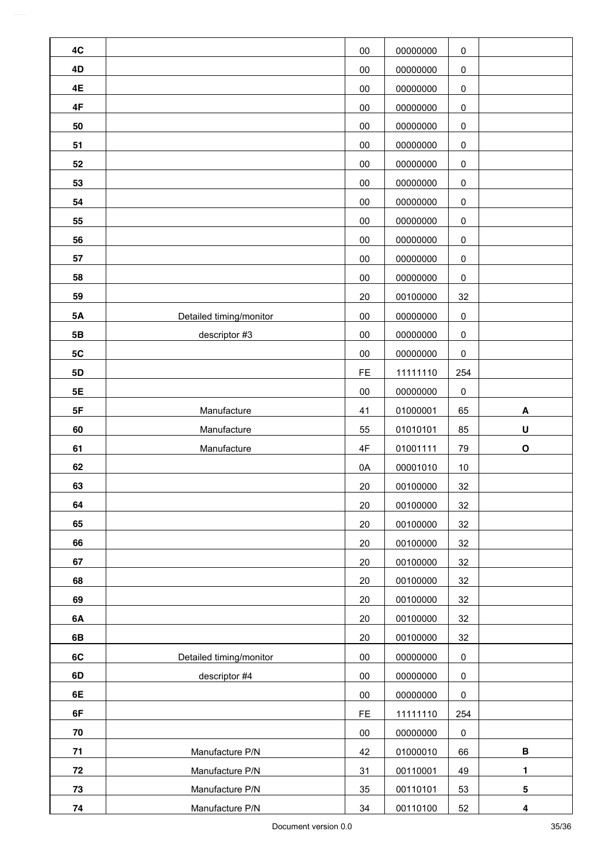| 4C        |                         | $00\,$    | 00000000 | $\pmb{0}$ |             |
|-----------|-------------------------|-----------|----------|-----------|-------------|
| 4D        |                         | 00        | 00000000 | $\pmb{0}$ |             |
| 4E        |                         | 00        | 00000000 | $\pmb{0}$ |             |
| 4F        |                         | $00\,$    | 00000000 | $\pmb{0}$ |             |
| 50        |                         | 00        | 00000000 | $\pmb{0}$ |             |
| 51        |                         | 00        | 00000000 | $\pmb{0}$ |             |
| 52        |                         | $00\,$    | 00000000 | $\pmb{0}$ |             |
| 53        |                         | $00\,$    | 00000000 | $\pmb{0}$ |             |
| 54        |                         | $00\,$    | 00000000 | $\pmb{0}$ |             |
| 55        |                         | 00        | 00000000 | $\pmb{0}$ |             |
| 56        |                         | 00        | 00000000 | $\pmb{0}$ |             |
| 57        |                         | 00        | 00000000 | $\pmb{0}$ |             |
| 58        |                         | $00\,$    | 00000000 | $\pmb{0}$ |             |
| 59        |                         | 20        | 00100000 | 32        |             |
| <b>5A</b> | Detailed timing/monitor | $00\,$    | 00000000 | $\pmb{0}$ |             |
| 5B        | descriptor #3           | $00\,$    | 00000000 | $\pmb{0}$ |             |
| 5C        |                         | $00\,$    | 00000000 | $\pmb{0}$ |             |
| 5D        |                         | FE        | 11111110 | 254       |             |
| 5E        |                         | $00\,$    | 00000000 | $\pmb{0}$ |             |
| 5F        | Manufacture             | 41        | 01000001 | 65        | A           |
| 60        | Manufacture             | 55        | 01010101 | 85        | U           |
| 61        | Manufacture             | 4F        | 01001111 | 79        | $\mathbf O$ |
| 62        |                         | 0A        | 00001010 | $10$      |             |
| 63        |                         | 20        | 00100000 | 32        |             |
| 64        |                         | 20        | 00100000 | 32        |             |
| 65        |                         | 20        | 00100000 | 32        |             |
| 66        |                         | 20        | 00100000 | 32        |             |
| 67        |                         | 20        | 00100000 | 32        |             |
| 68        |                         | 20        | 00100000 | 32        |             |
| 69        |                         | 20        | 00100000 | 32        |             |
| 6A        |                         | 20        | 00100000 | 32        |             |
| 6B        |                         | 20        | 00100000 | 32        |             |
| 6C        | Detailed timing/monitor | $00\,$    | 00000000 | $\pmb{0}$ |             |
| 6D        | descriptor #4           | 00        | 00000000 | $\pmb{0}$ |             |
| 6E        |                         | $00\,$    | 00000000 | $\pmb{0}$ |             |
| 6F        |                         | <b>FE</b> | 11111110 | 254       |             |
| 70        |                         | $00\,$    | 00000000 | $\pmb{0}$ |             |
| 71        | Manufacture P/N         | 42        | 01000010 | 66        | В           |
| 72        | Manufacture P/N         | 31        | 00110001 | 49        | 1           |
| 73        | Manufacture P/N         | 35        | 00110101 | 53        | 5           |
| 74        | Manufacture P/N         | 34        | 00110100 | 52        | 4           |